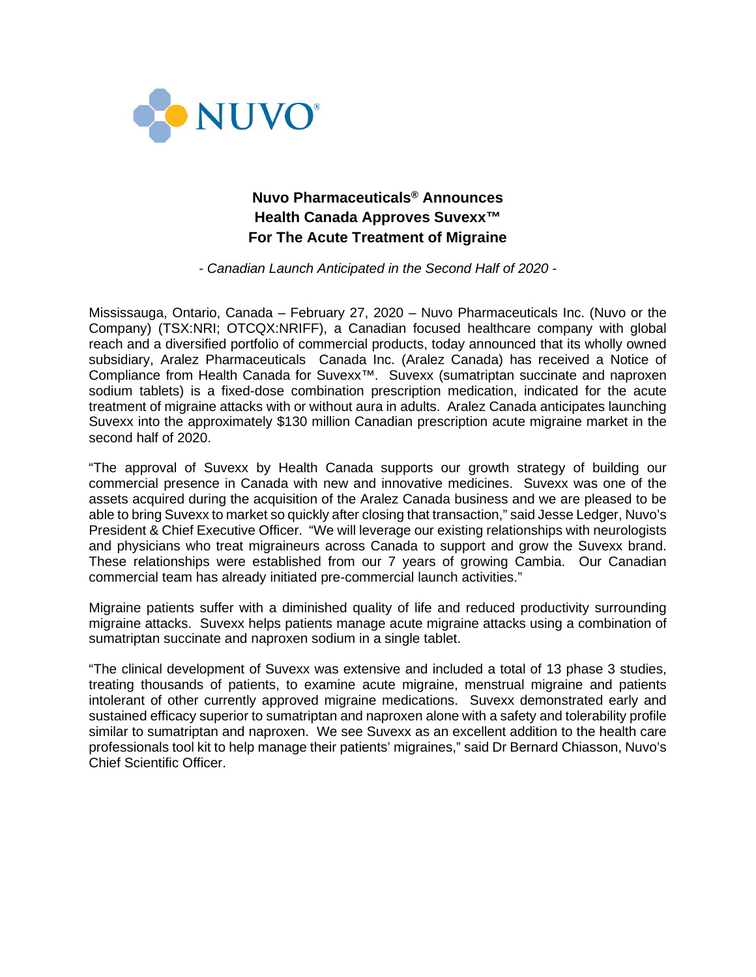

# **Nuvo Pharmaceuticals® Announces Health Canada Approves Suvexx™ For The Acute Treatment of Migraine**

*- Canadian Launch Anticipated in the Second Half of 2020 -*

Mississauga, Ontario, Canada – February 27, 2020 – Nuvo Pharmaceuticals Inc. (Nuvo or the Company) (TSX:NRI; OTCQX:NRIFF), a Canadian focused healthcare company with global reach and a diversified portfolio of commercial products, today announced that its wholly owned subsidiary, Aralez Pharmaceuticals Canada Inc. (Aralez Canada) has received a Notice of Compliance from Health Canada for Suvexx<sup>™</sup>. Suvexx (sumatriptan succinate and naproxen sodium tablets) is a fixed-dose combination prescription medication, indicated for the acute treatment of migraine attacks with or without aura in adults. Aralez Canada anticipates launching Suvexx into the approximately \$130 million Canadian prescription acute migraine market in the second half of 2020.

"The approval of Suvexx by Health Canada supports our growth strategy of building our commercial presence in Canada with new and innovative medicines. Suvexx was one of the assets acquired during the acquisition of the Aralez Canada business and we are pleased to be able to bring Suvexx to market so quickly after closing that transaction," said Jesse Ledger, Nuvo's President & Chief Executive Officer. "We will leverage our existing relationships with neurologists and physicians who treat migraineurs across Canada to support and grow the Suvexx brand. These relationships were established from our 7 years of growing Cambia. Our Canadian commercial team has already initiated pre-commercial launch activities."

Migraine patients suffer with a diminished quality of life and reduced productivity surrounding migraine attacks. Suvexx helps patients manage acute migraine attacks using a combination of sumatriptan succinate and naproxen sodium in a single tablet.

"The clinical development of Suvexx was extensive and included a total of 13 phase 3 studies, treating thousands of patients, to examine acute migraine, menstrual migraine and patients intolerant of other currently approved migraine medications. Suvexx demonstrated early and sustained efficacy superior to sumatriptan and naproxen alone with a safety and tolerability profile similar to sumatriptan and naproxen. We see Suvexx as an excellent addition to the health care professionals tool kit to help manage their patients' migraines," said Dr Bernard Chiasson, Nuvo's Chief Scientific Officer.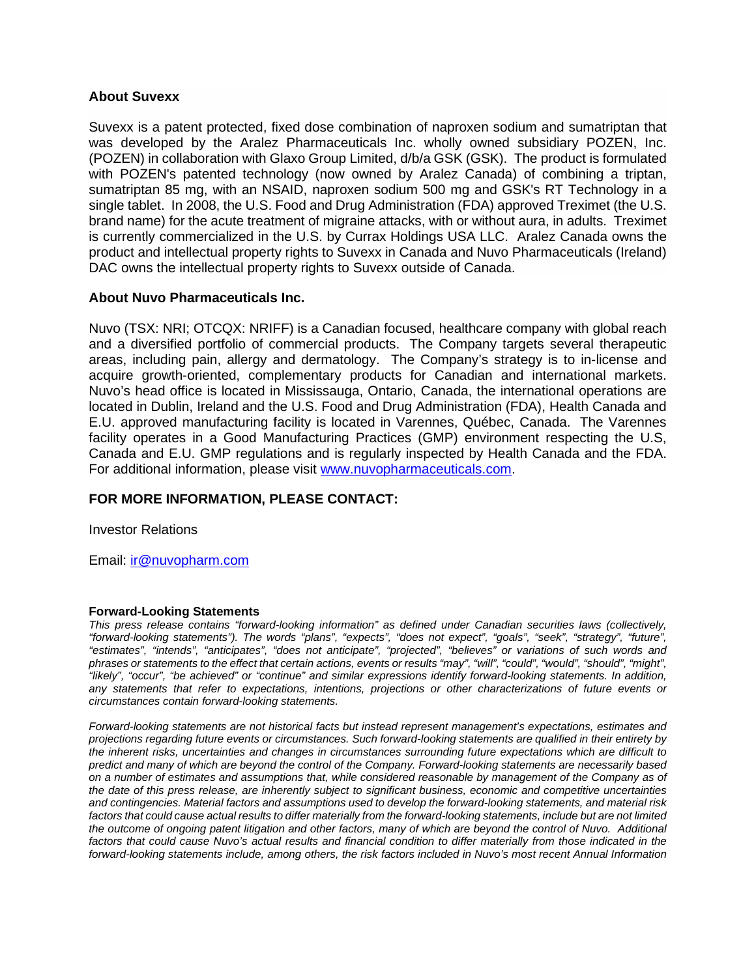#### **About Suvexx**

Suvexx is a patent protected, fixed dose combination of naproxen sodium and sumatriptan that was developed by the Aralez Pharmaceuticals Inc. wholly owned subsidiary POZEN, Inc. (POZEN) in collaboration with Glaxo Group Limited, d/b/a GSK (GSK). The product is formulated with POZEN's patented technology (now owned by Aralez Canada) of combining a triptan, sumatriptan 85 mg, with an NSAID, naproxen sodium 500 mg and GSK's RT Technology in a single tablet. In 2008, the U.S. Food and Drug Administration (FDA) approved Treximet (the U.S. brand name) for the acute treatment of migraine attacks, with or without aura, in adults. Treximet is currently commercialized in the U.S. by Currax Holdings USA LLC. Aralez Canada owns the product and intellectual property rights to Suvexx in Canada and Nuvo Pharmaceuticals (Ireland) DAC owns the intellectual property rights to Suvexx outside of Canada.

### **About Nuvo Pharmaceuticals Inc.**

Nuvo (TSX: NRI; OTCQX: NRIFF) is a Canadian focused, healthcare company with global reach and a diversified portfolio of commercial products. The Company targets several therapeutic areas, including pain, allergy and dermatology. The Company's strategy is to in-license and acquire growth-oriented, complementary products for Canadian and international markets. Nuvo's head office is located in Mississauga, Ontario, Canada, the international operations are located in Dublin, Ireland and the U.S. Food and Drug Administration (FDA), Health Canada and E.U. approved manufacturing facility is located in Varennes, Québec, Canada. The Varennes facility operates in a Good Manufacturing Practices (GMP) environment respecting the U.S, Canada and E.U. GMP regulations and is regularly inspected by Health Canada and the FDA. For additional information, please visit [www.nuvopharmaceuticals.com.](http://www.nuvopharmaceuticals.com/)

## **FOR MORE INFORMATION, PLEASE CONTACT:**

Investor Relations

Email: [ir@nuvopharm.com](mailto:ir@nuvopharm.com)

#### **Forward-Looking Statements**

*This press release contains "forward-looking information" as defined under Canadian securities laws (collectively, "forward-looking statements"). The words "plans", "expects", "does not expect", "goals", "seek", "strategy", "future", "estimates", "intends", "anticipates", "does not anticipate", "projected", "believes" or variations of such words and phrases or statements to the effect that certain actions, events or results "may", "will", "could", "would", "should", "might", "likely", "occur", "be achieved" or "continue" and similar expressions identify forward-looking statements. In addition, any statements that refer to expectations, intentions, projections or other characterizations of future events or circumstances contain forward-looking statements.* 

*Forward-looking statements are not historical facts but instead represent management's expectations, estimates and projections regarding future events or circumstances. Such forward-looking statements are qualified in their entirety by the inherent risks, uncertainties and changes in circumstances surrounding future expectations which are difficult to predict and many of which are beyond the control of the Company. Forward-looking statements are necessarily based on a number of estimates and assumptions that, while considered reasonable by management of the Company as of the date of this press release, are inherently subject to significant business, economic and competitive uncertainties and contingencies. Material factors and assumptions used to develop the forward-looking statements, and material risk factors that could cause actual results to differ materially from the forward-looking statements, include but are not limited the outcome of ongoing patent litigation and other factors, many of which are beyond the control of Nuvo. Additional*  factors that could cause Nuvo's actual results and financial condition to differ materially from those indicated in the forward-looking statements include, among others, the risk factors included in Nuvo's most recent Annual Information